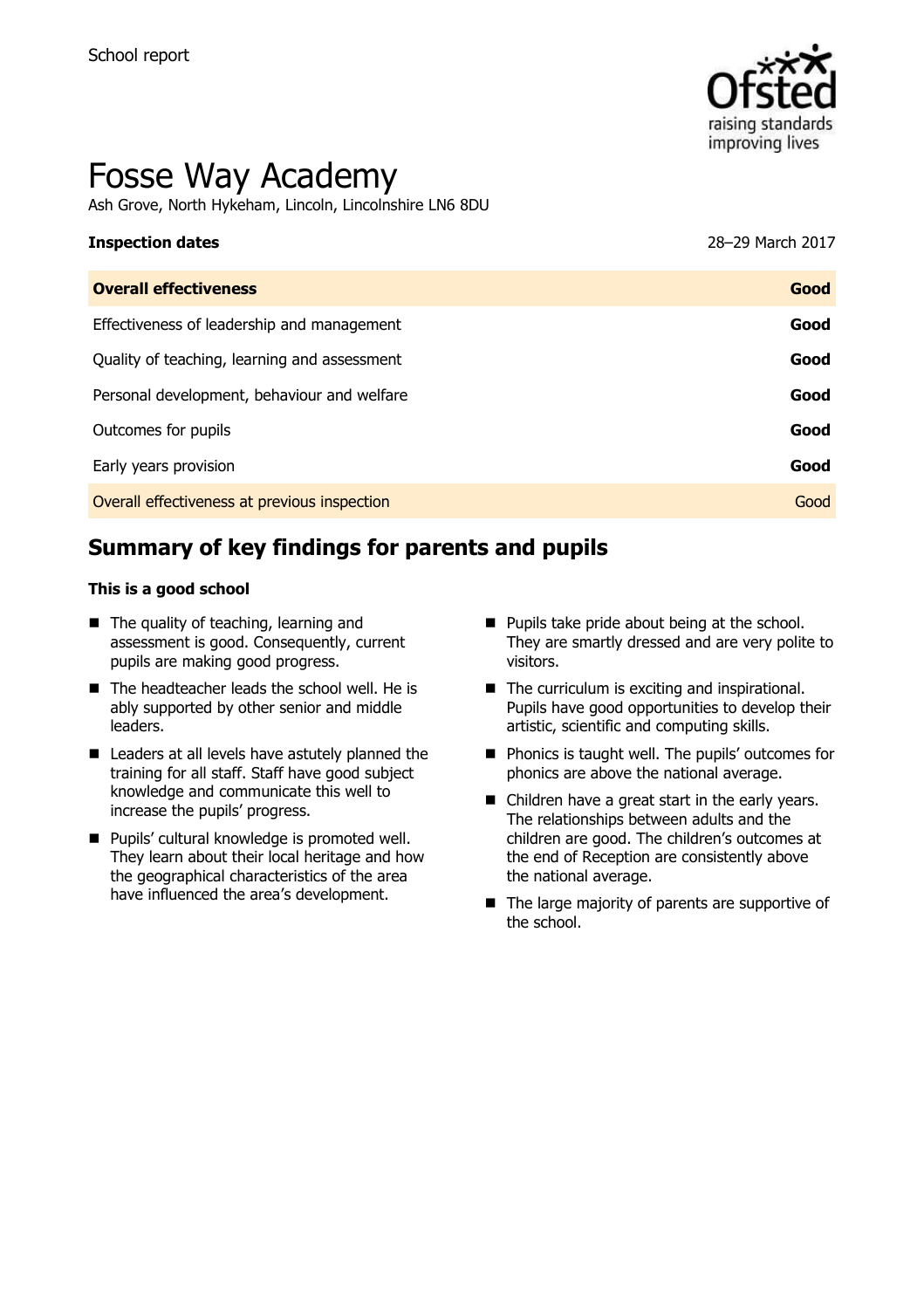

# Fosse Way Academy

Ash Grove, North Hykeham, Lincoln, Lincolnshire LN6 8DU

| <b>Inspection dates</b> | 28-29 March 2017 |
|-------------------------|------------------|
|                         |                  |

| <b>Overall effectiveness</b>                 | Good |
|----------------------------------------------|------|
| Effectiveness of leadership and management   | Good |
| Quality of teaching, learning and assessment | Good |
| Personal development, behaviour and welfare  | Good |
| Outcomes for pupils                          | Good |
| Early years provision                        | Good |
| Overall effectiveness at previous inspection | Good |

# **Summary of key findings for parents and pupils**

#### **This is a good school**

- The quality of teaching, learning and assessment is good. Consequently, current pupils are making good progress.
- The headteacher leads the school well. He is ably supported by other senior and middle leaders.
- Leaders at all levels have astutely planned the training for all staff. Staff have good subject knowledge and communicate this well to increase the pupils' progress.
- Pupils' cultural knowledge is promoted well. They learn about their local heritage and how the geographical characteristics of the area have influenced the area's development.
- **Pupils take pride about being at the school.** They are smartly dressed and are very polite to visitors.
- The curriculum is exciting and inspirational. Pupils have good opportunities to develop their artistic, scientific and computing skills.
- **Phonics is taught well. The pupils' outcomes for** phonics are above the national average.
- Children have a great start in the early years. The relationships between adults and the children are good. The children's outcomes at the end of Reception are consistently above the national average.
- The large majority of parents are supportive of the school.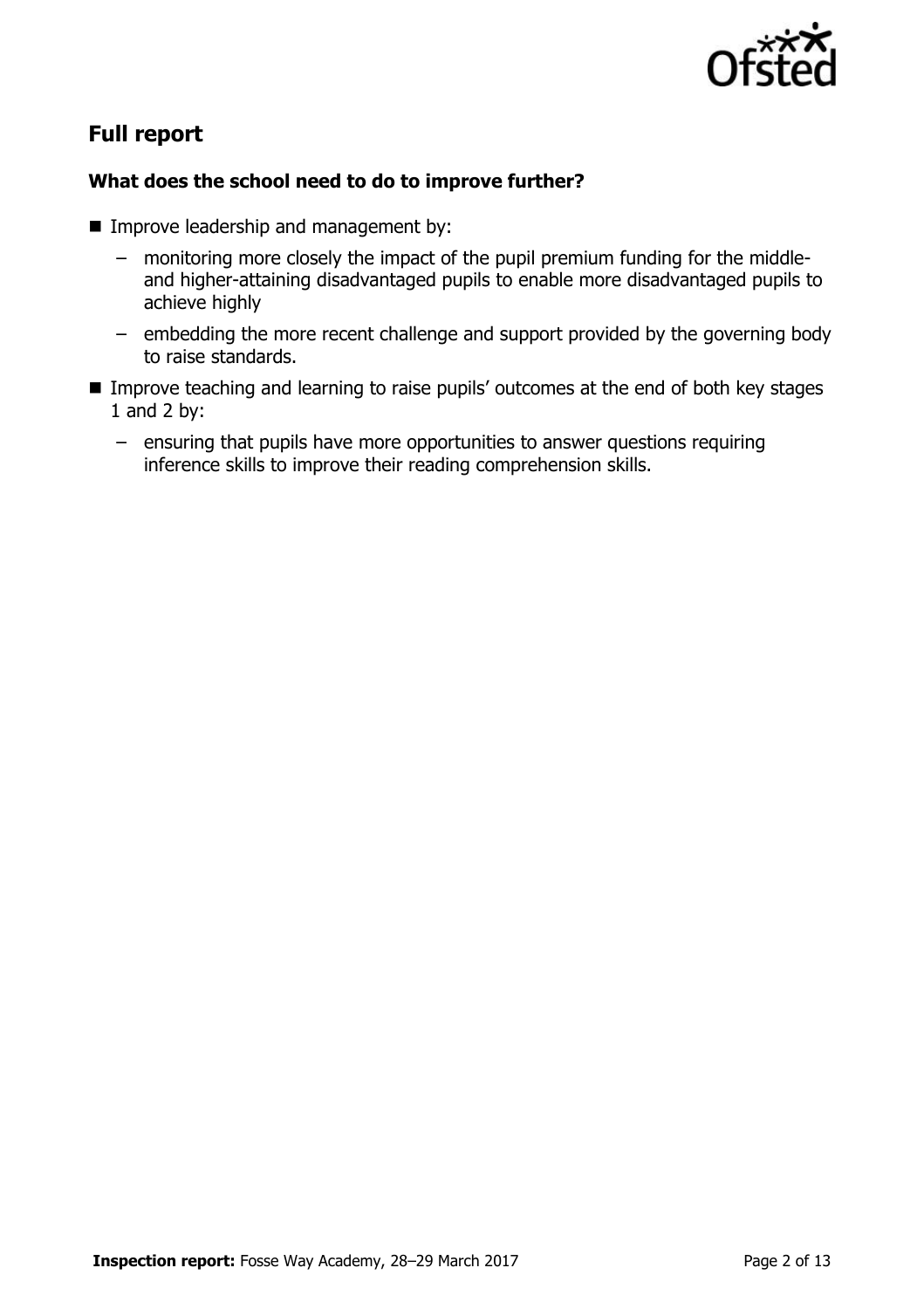

# **Full report**

### **What does the school need to do to improve further?**

- **Improve leadership and management by:** 
	- monitoring more closely the impact of the pupil premium funding for the middleand higher-attaining disadvantaged pupils to enable more disadvantaged pupils to achieve highly
	- embedding the more recent challenge and support provided by the governing body to raise standards.
- **IMPROVE THE 11 Improve teaching and learning to raise pupils' outcomes at the end of both key stages** 1 and 2 by:
	- ensuring that pupils have more opportunities to answer questions requiring inference skills to improve their reading comprehension skills.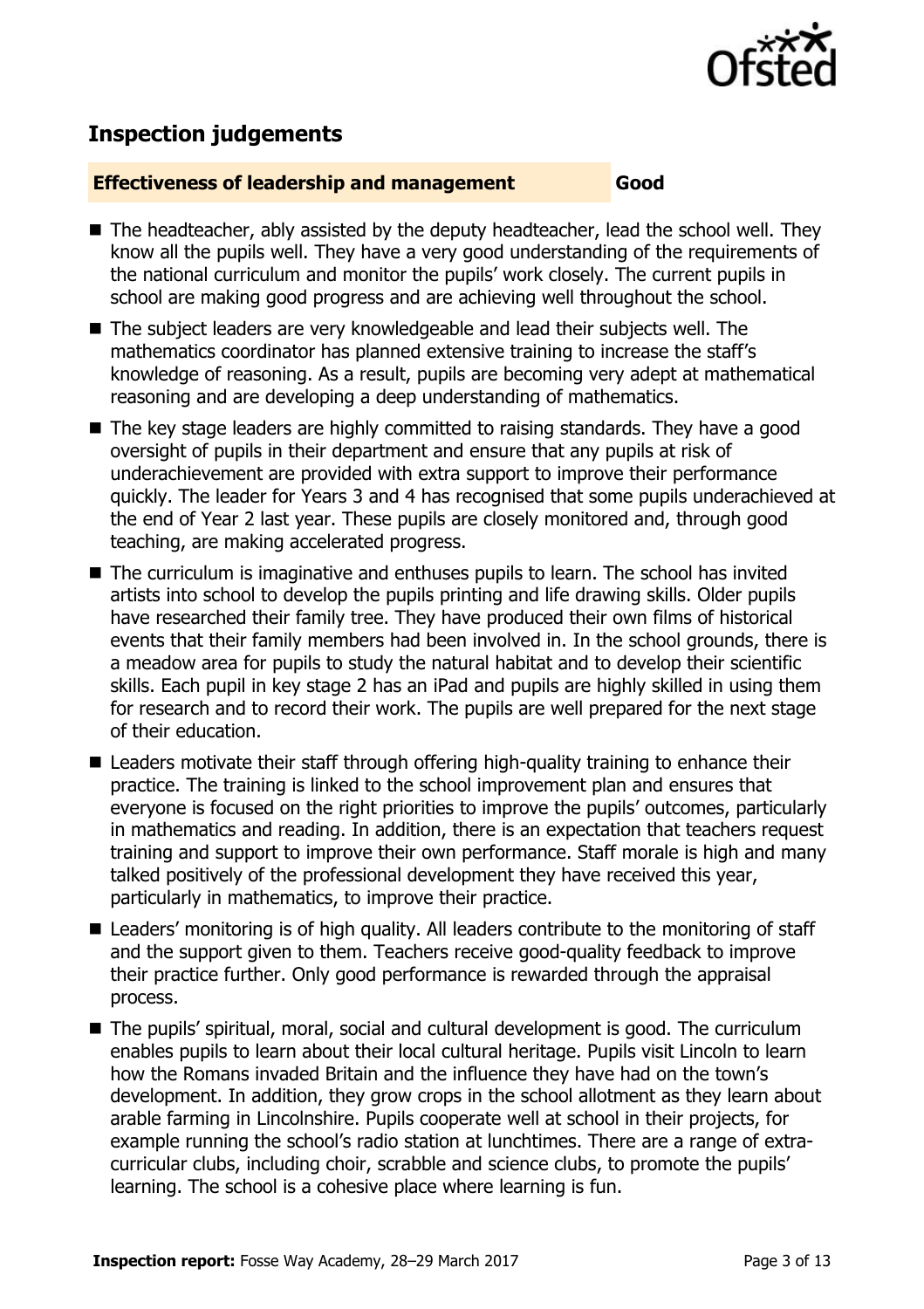

## **Inspection judgements**

#### **Effectiveness of leadership and management Good**

- The headteacher, ably assisted by the deputy headteacher, lead the school well. They know all the pupils well. They have a very good understanding of the requirements of the national curriculum and monitor the pupils' work closely. The current pupils in school are making good progress and are achieving well throughout the school.
- The subject leaders are very knowledgeable and lead their subjects well. The mathematics coordinator has planned extensive training to increase the staff's knowledge of reasoning. As a result, pupils are becoming very adept at mathematical reasoning and are developing a deep understanding of mathematics.
- The key stage leaders are highly committed to raising standards. They have a good oversight of pupils in their department and ensure that any pupils at risk of underachievement are provided with extra support to improve their performance quickly. The leader for Years 3 and 4 has recognised that some pupils underachieved at the end of Year 2 last year. These pupils are closely monitored and, through good teaching, are making accelerated progress.
- The curriculum is imaginative and enthuses pupils to learn. The school has invited artists into school to develop the pupils printing and life drawing skills. Older pupils have researched their family tree. They have produced their own films of historical events that their family members had been involved in. In the school grounds, there is a meadow area for pupils to study the natural habitat and to develop their scientific skills. Each pupil in key stage 2 has an iPad and pupils are highly skilled in using them for research and to record their work. The pupils are well prepared for the next stage of their education.
- Leaders motivate their staff through offering high-quality training to enhance their practice. The training is linked to the school improvement plan and ensures that everyone is focused on the right priorities to improve the pupils' outcomes, particularly in mathematics and reading. In addition, there is an expectation that teachers request training and support to improve their own performance. Staff morale is high and many talked positively of the professional development they have received this year, particularly in mathematics, to improve their practice.
- Leaders' monitoring is of high quality. All leaders contribute to the monitoring of staff and the support given to them. Teachers receive good-quality feedback to improve their practice further. Only good performance is rewarded through the appraisal process.
- The pupils' spiritual, moral, social and cultural development is good. The curriculum enables pupils to learn about their local cultural heritage. Pupils visit Lincoln to learn how the Romans invaded Britain and the influence they have had on the town's development. In addition, they grow crops in the school allotment as they learn about arable farming in Lincolnshire. Pupils cooperate well at school in their projects, for example running the school's radio station at lunchtimes. There are a range of extracurricular clubs, including choir, scrabble and science clubs, to promote the pupils' learning. The school is a cohesive place where learning is fun.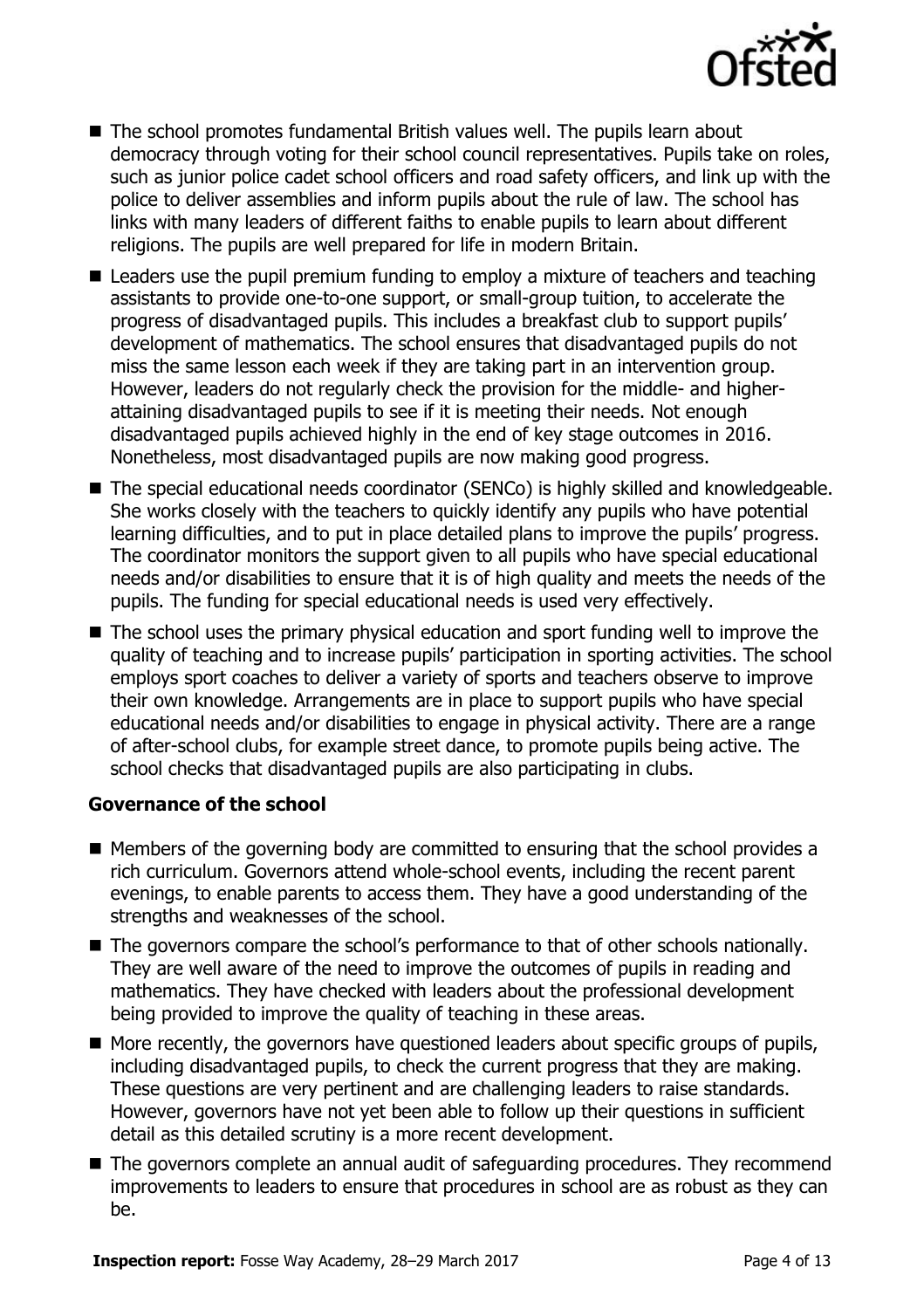

- The school promotes fundamental British values well. The pupils learn about democracy through voting for their school council representatives. Pupils take on roles, such as junior police cadet school officers and road safety officers, and link up with the police to deliver assemblies and inform pupils about the rule of law. The school has links with many leaders of different faiths to enable pupils to learn about different religions. The pupils are well prepared for life in modern Britain.
- Leaders use the pupil premium funding to employ a mixture of teachers and teaching assistants to provide one-to-one support, or small-group tuition, to accelerate the progress of disadvantaged pupils. This includes a breakfast club to support pupils' development of mathematics. The school ensures that disadvantaged pupils do not miss the same lesson each week if they are taking part in an intervention group. However, leaders do not regularly check the provision for the middle- and higherattaining disadvantaged pupils to see if it is meeting their needs. Not enough disadvantaged pupils achieved highly in the end of key stage outcomes in 2016. Nonetheless, most disadvantaged pupils are now making good progress.
- The special educational needs coordinator (SENCo) is highly skilled and knowledgeable. She works closely with the teachers to quickly identify any pupils who have potential learning difficulties, and to put in place detailed plans to improve the pupils' progress. The coordinator monitors the support given to all pupils who have special educational needs and/or disabilities to ensure that it is of high quality and meets the needs of the pupils. The funding for special educational needs is used very effectively.
- The school uses the primary physical education and sport funding well to improve the quality of teaching and to increase pupils' participation in sporting activities. The school employs sport coaches to deliver a variety of sports and teachers observe to improve their own knowledge. Arrangements are in place to support pupils who have special educational needs and/or disabilities to engage in physical activity. There are a range of after-school clubs, for example street dance, to promote pupils being active. The school checks that disadvantaged pupils are also participating in clubs.

#### **Governance of the school**

- $\blacksquare$  Members of the governing body are committed to ensuring that the school provides a rich curriculum. Governors attend whole-school events, including the recent parent evenings, to enable parents to access them. They have a good understanding of the strengths and weaknesses of the school.
- The governors compare the school's performance to that of other schools nationally. They are well aware of the need to improve the outcomes of pupils in reading and mathematics. They have checked with leaders about the professional development being provided to improve the quality of teaching in these areas.
- $\blacksquare$  More recently, the governors have questioned leaders about specific groups of pupils, including disadvantaged pupils, to check the current progress that they are making. These questions are very pertinent and are challenging leaders to raise standards. However, governors have not yet been able to follow up their questions in sufficient detail as this detailed scrutiny is a more recent development.
- The governors complete an annual audit of safeguarding procedures. They recommend improvements to leaders to ensure that procedures in school are as robust as they can be.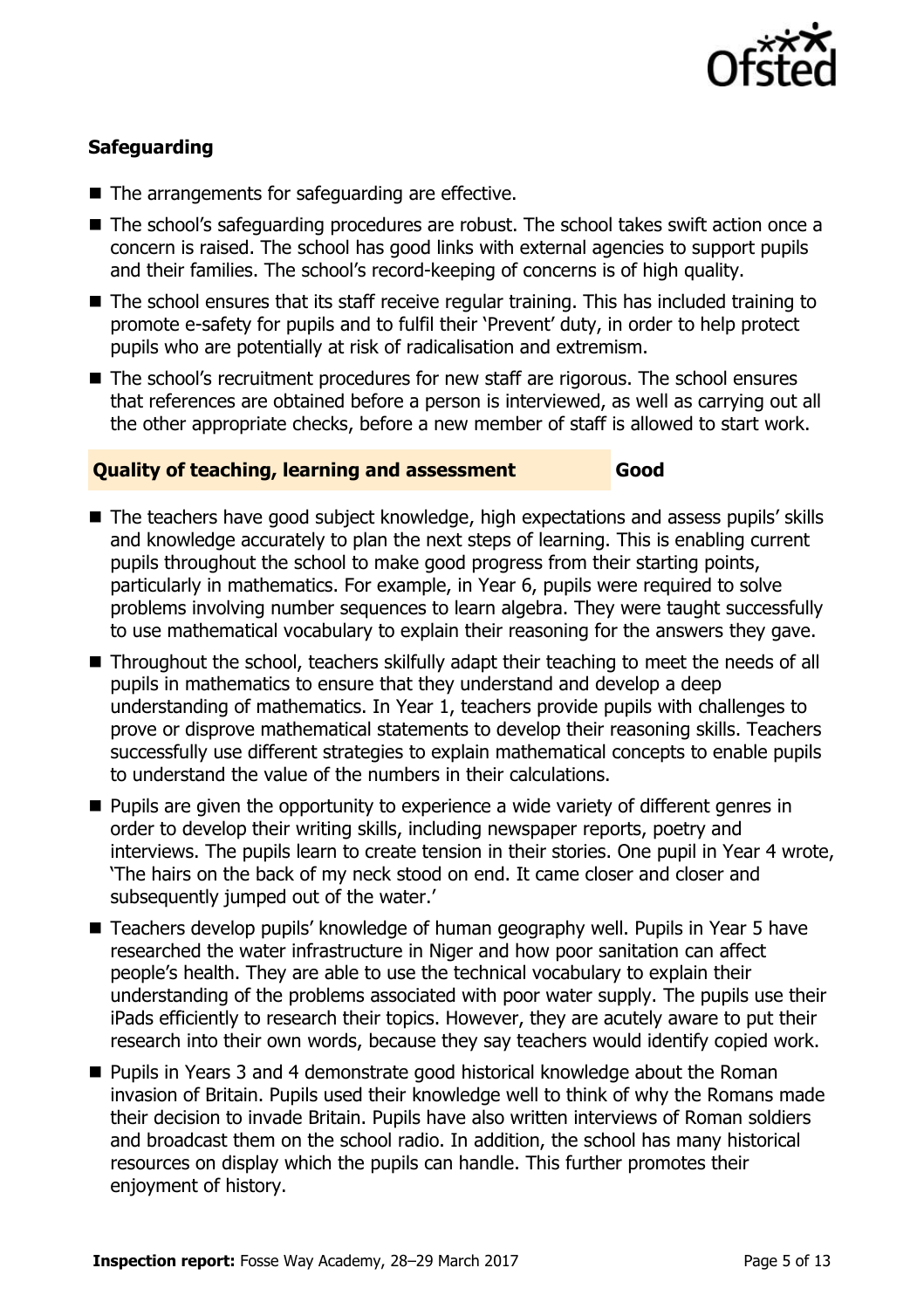

### **Safeguarding**

- The arrangements for safeguarding are effective.
- The school's safeguarding procedures are robust. The school takes swift action once a concern is raised. The school has good links with external agencies to support pupils and their families. The school's record-keeping of concerns is of high quality.
- The school ensures that its staff receive regular training. This has included training to promote e-safety for pupils and to fulfil their 'Prevent' duty, in order to help protect pupils who are potentially at risk of radicalisation and extremism.
- The school's recruitment procedures for new staff are rigorous. The school ensures that references are obtained before a person is interviewed, as well as carrying out all the other appropriate checks, before a new member of staff is allowed to start work.

#### **Quality of teaching, learning and assessment Good**

- The teachers have good subject knowledge, high expectations and assess pupils' skills and knowledge accurately to plan the next steps of learning. This is enabling current pupils throughout the school to make good progress from their starting points, particularly in mathematics. For example, in Year 6, pupils were required to solve problems involving number sequences to learn algebra. They were taught successfully to use mathematical vocabulary to explain their reasoning for the answers they gave.
- Throughout the school, teachers skilfully adapt their teaching to meet the needs of all pupils in mathematics to ensure that they understand and develop a deep understanding of mathematics. In Year 1, teachers provide pupils with challenges to prove or disprove mathematical statements to develop their reasoning skills. Teachers successfully use different strategies to explain mathematical concepts to enable pupils to understand the value of the numbers in their calculations.
- **Pupils are given the opportunity to experience a wide variety of different genres in** order to develop their writing skills, including newspaper reports, poetry and interviews. The pupils learn to create tension in their stories. One pupil in Year 4 wrote, 'The hairs on the back of my neck stood on end. It came closer and closer and subsequently jumped out of the water.'
- Teachers develop pupils' knowledge of human geography well. Pupils in Year 5 have researched the water infrastructure in Niger and how poor sanitation can affect people's health. They are able to use the technical vocabulary to explain their understanding of the problems associated with poor water supply. The pupils use their iPads efficiently to research their topics. However, they are acutely aware to put their research into their own words, because they say teachers would identify copied work.
- Pupils in Years 3 and 4 demonstrate good historical knowledge about the Roman invasion of Britain. Pupils used their knowledge well to think of why the Romans made their decision to invade Britain. Pupils have also written interviews of Roman soldiers and broadcast them on the school radio. In addition, the school has many historical resources on display which the pupils can handle. This further promotes their enjoyment of history.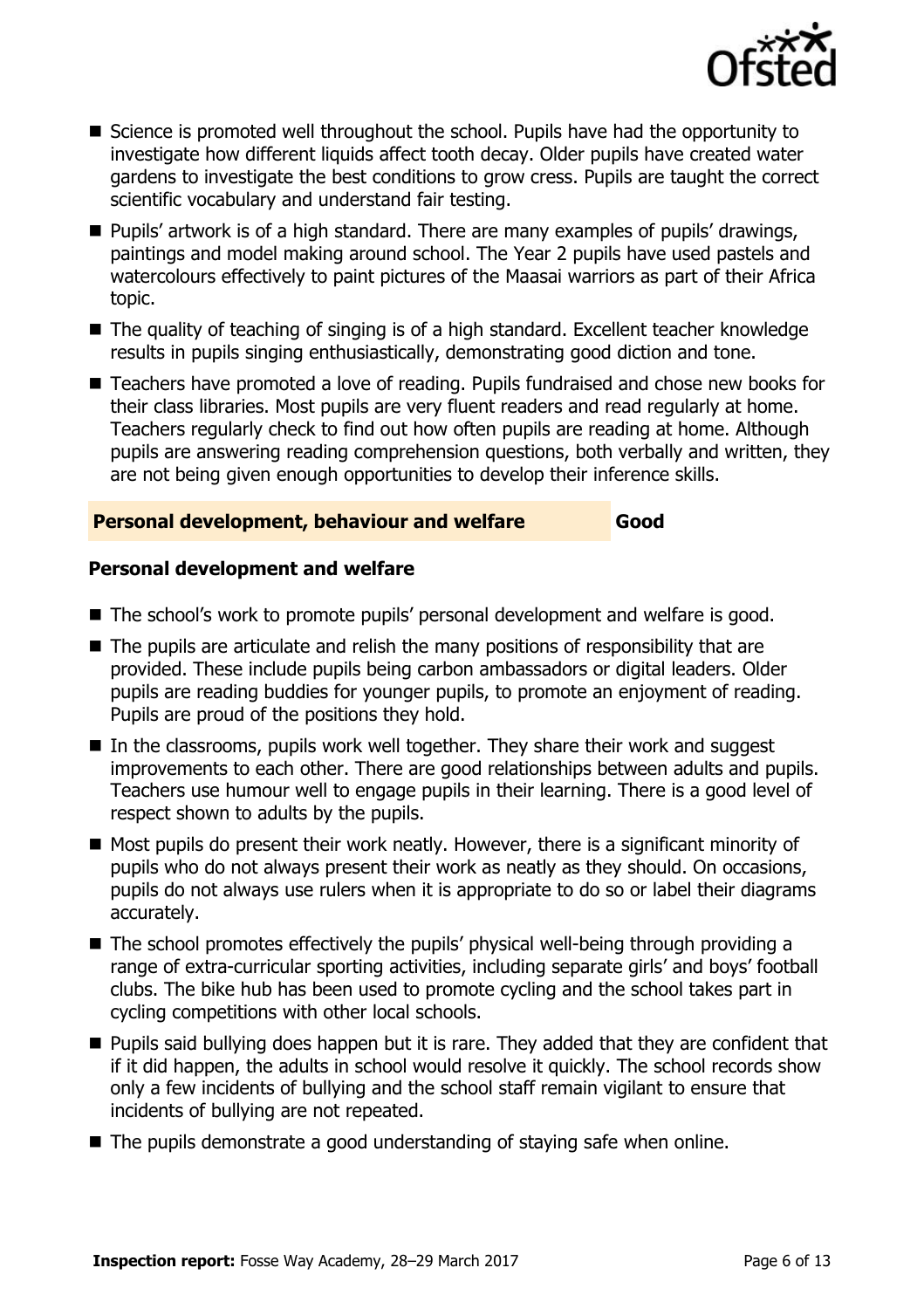

- Science is promoted well throughout the school. Pupils have had the opportunity to investigate how different liquids affect tooth decay. Older pupils have created water gardens to investigate the best conditions to grow cress. Pupils are taught the correct scientific vocabulary and understand fair testing.
- Pupils' artwork is of a high standard. There are many examples of pupils' drawings, paintings and model making around school. The Year 2 pupils have used pastels and watercolours effectively to paint pictures of the Maasai warriors as part of their Africa topic.
- The quality of teaching of singing is of a high standard. Excellent teacher knowledge results in pupils singing enthusiastically, demonstrating good diction and tone.
- Teachers have promoted a love of reading. Pupils fundraised and chose new books for their class libraries. Most pupils are very fluent readers and read regularly at home. Teachers regularly check to find out how often pupils are reading at home. Although pupils are answering reading comprehension questions, both verbally and written, they are not being given enough opportunities to develop their inference skills.

#### **Personal development, behaviour and welfare Good**

#### **Personal development and welfare**

- The school's work to promote pupils' personal development and welfare is good.
- $\blacksquare$  The pupils are articulate and relish the many positions of responsibility that are provided. These include pupils being carbon ambassadors or digital leaders. Older pupils are reading buddies for younger pupils, to promote an enjoyment of reading. Pupils are proud of the positions they hold.
- $\blacksquare$  In the classrooms, pupils work well together. They share their work and suggest improvements to each other. There are good relationships between adults and pupils. Teachers use humour well to engage pupils in their learning. There is a good level of respect shown to adults by the pupils.
- $\blacksquare$  Most pupils do present their work neatly. However, there is a significant minority of pupils who do not always present their work as neatly as they should. On occasions, pupils do not always use rulers when it is appropriate to do so or label their diagrams accurately.
- The school promotes effectively the pupils' physical well-being through providing a range of extra-curricular sporting activities, including separate girls' and boys' football clubs. The bike hub has been used to promote cycling and the school takes part in cycling competitions with other local schools.
- **Pupils said bullying does happen but it is rare. They added that they are confident that** if it did happen, the adults in school would resolve it quickly. The school records show only a few incidents of bullying and the school staff remain vigilant to ensure that incidents of bullying are not repeated.
- The pupils demonstrate a good understanding of staving safe when online.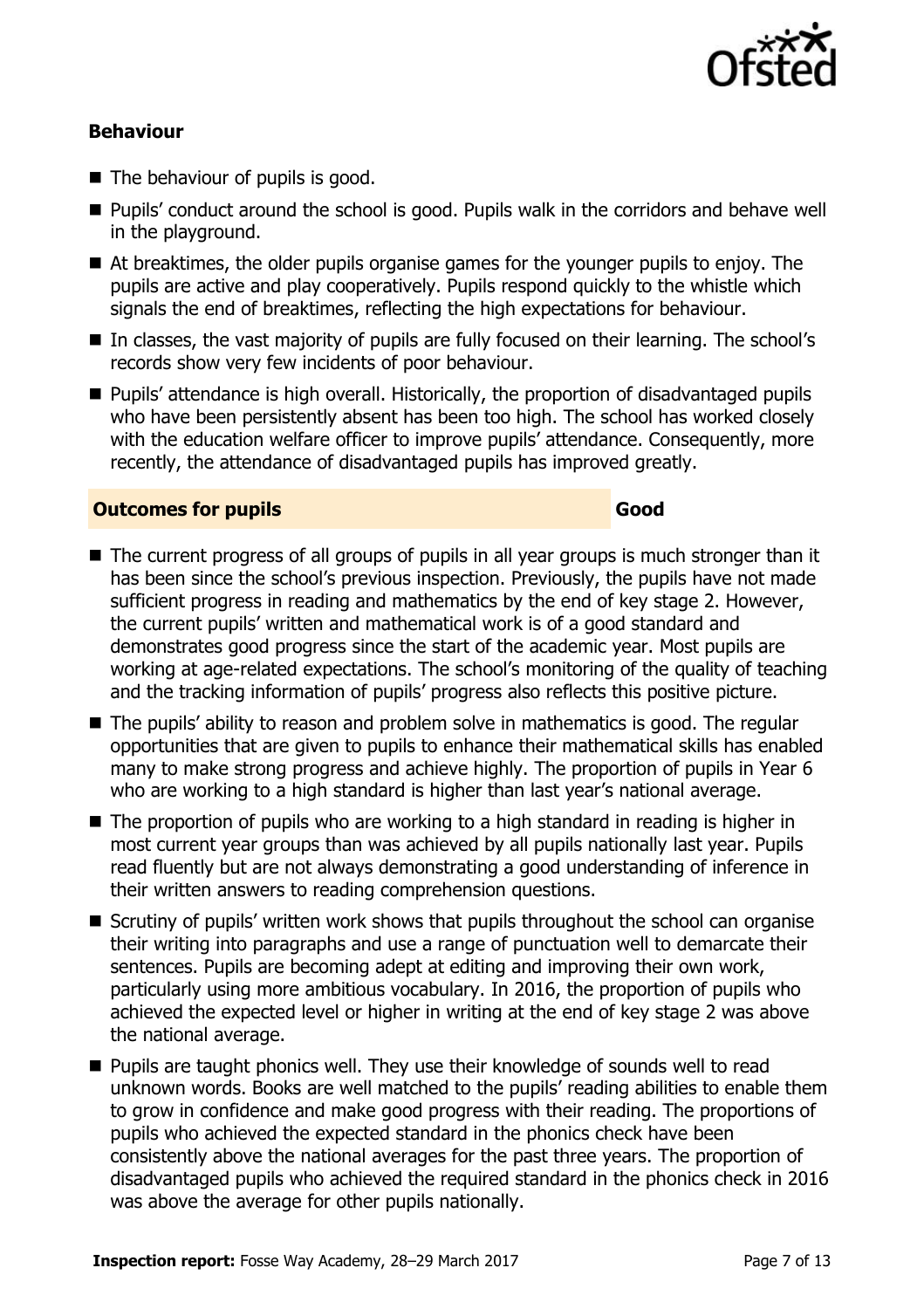

#### **Behaviour**

- The behaviour of pupils is good.
- Pupils' conduct around the school is good. Pupils walk in the corridors and behave well in the playground.
- At breaktimes, the older pupils organise games for the younger pupils to enjoy. The pupils are active and play cooperatively. Pupils respond quickly to the whistle which signals the end of breaktimes, reflecting the high expectations for behaviour.
- In classes, the vast majority of pupils are fully focused on their learning. The school's records show very few incidents of poor behaviour.
- **Pupils' attendance is high overall. Historically, the proportion of disadvantaged pupils** who have been persistently absent has been too high. The school has worked closely with the education welfare officer to improve pupils' attendance. Consequently, more recently, the attendance of disadvantaged pupils has improved greatly.

#### **Outcomes for pupils Good**

- The current progress of all groups of pupils in all year groups is much stronger than it has been since the school's previous inspection. Previously, the pupils have not made sufficient progress in reading and mathematics by the end of key stage 2. However, the current pupils' written and mathematical work is of a good standard and demonstrates good progress since the start of the academic year. Most pupils are working at age-related expectations. The school's monitoring of the quality of teaching and the tracking information of pupils' progress also reflects this positive picture.
- The pupils' ability to reason and problem solve in mathematics is good. The regular opportunities that are given to pupils to enhance their mathematical skills has enabled many to make strong progress and achieve highly. The proportion of pupils in Year 6 who are working to a high standard is higher than last year's national average.
- The proportion of pupils who are working to a high standard in reading is higher in most current year groups than was achieved by all pupils nationally last year. Pupils read fluently but are not always demonstrating a good understanding of inference in their written answers to reading comprehension questions.
- Scrutiny of pupils' written work shows that pupils throughout the school can organise their writing into paragraphs and use a range of punctuation well to demarcate their sentences. Pupils are becoming adept at editing and improving their own work, particularly using more ambitious vocabulary. In 2016, the proportion of pupils who achieved the expected level or higher in writing at the end of key stage 2 was above the national average.
- Pupils are taught phonics well. They use their knowledge of sounds well to read unknown words. Books are well matched to the pupils' reading abilities to enable them to grow in confidence and make good progress with their reading. The proportions of pupils who achieved the expected standard in the phonics check have been consistently above the national averages for the past three years. The proportion of disadvantaged pupils who achieved the required standard in the phonics check in 2016 was above the average for other pupils nationally.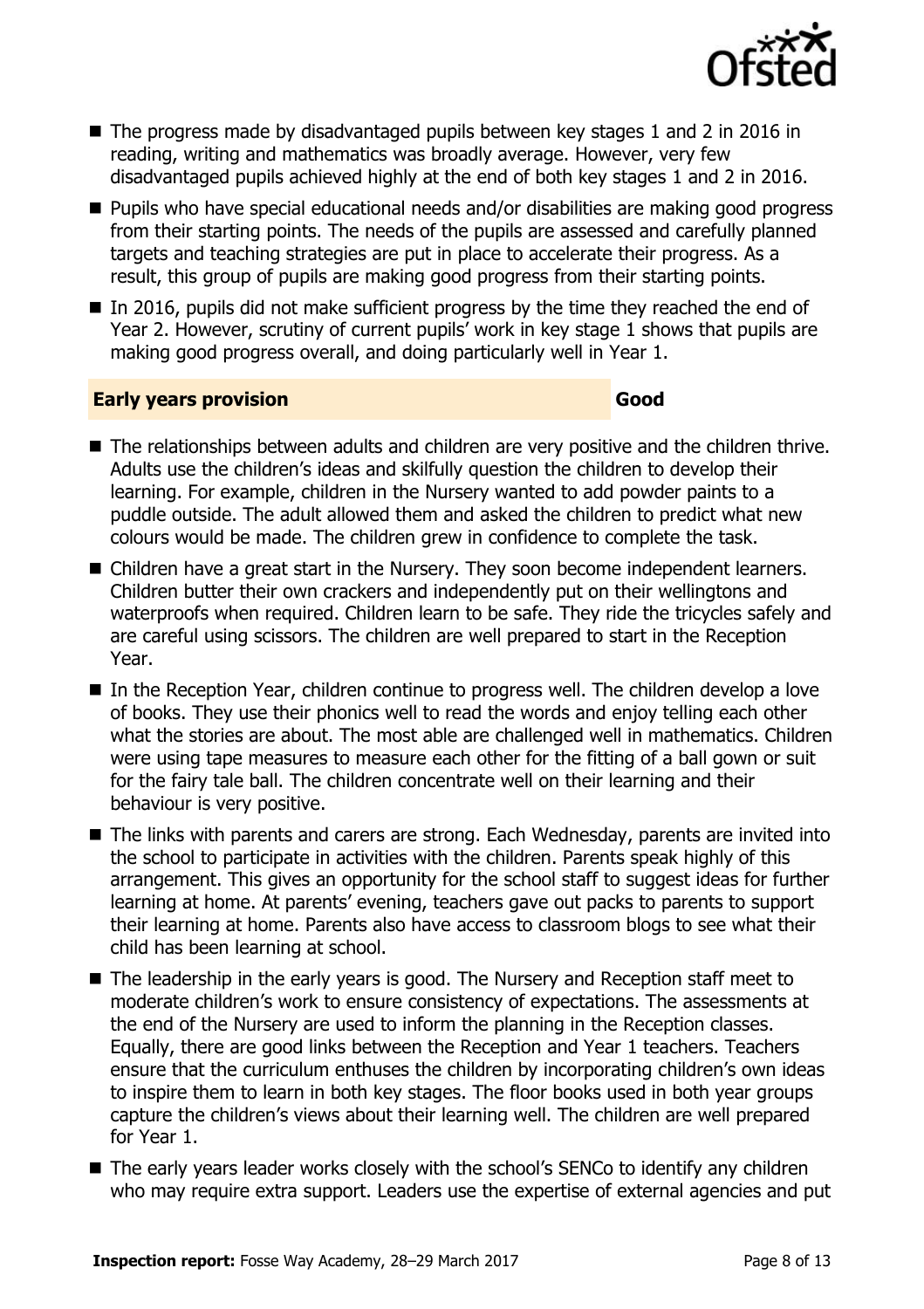

- The progress made by disadvantaged pupils between key stages 1 and 2 in 2016 in reading, writing and mathematics was broadly average. However, very few disadvantaged pupils achieved highly at the end of both key stages 1 and 2 in 2016.
- Pupils who have special educational needs and/or disabilities are making good progress from their starting points. The needs of the pupils are assessed and carefully planned targets and teaching strategies are put in place to accelerate their progress. As a result, this group of pupils are making good progress from their starting points.
- $\blacksquare$  In 2016, pupils did not make sufficient progress by the time they reached the end of Year 2. However, scrutiny of current pupils' work in key stage 1 shows that pupils are making good progress overall, and doing particularly well in Year 1.

#### **Early years provision Good Good**

- The relationships between adults and children are very positive and the children thrive. Adults use the children's ideas and skilfully question the children to develop their learning. For example, children in the Nursery wanted to add powder paints to a puddle outside. The adult allowed them and asked the children to predict what new colours would be made. The children grew in confidence to complete the task.
- Children have a great start in the Nursery. They soon become independent learners. Children butter their own crackers and independently put on their wellingtons and waterproofs when required. Children learn to be safe. They ride the tricycles safely and are careful using scissors. The children are well prepared to start in the Reception Year.
- In the Reception Year, children continue to progress well. The children develop a love of books. They use their phonics well to read the words and enjoy telling each other what the stories are about. The most able are challenged well in mathematics. Children were using tape measures to measure each other for the fitting of a ball gown or suit for the fairy tale ball. The children concentrate well on their learning and their behaviour is very positive.
- The links with parents and carers are strong. Each Wednesday, parents are invited into the school to participate in activities with the children. Parents speak highly of this arrangement. This gives an opportunity for the school staff to suggest ideas for further learning at home. At parents' evening, teachers gave out packs to parents to support their learning at home. Parents also have access to classroom blogs to see what their child has been learning at school.
- The leadership in the early years is good. The Nursery and Reception staff meet to moderate children's work to ensure consistency of expectations. The assessments at the end of the Nursery are used to inform the planning in the Reception classes. Equally, there are good links between the Reception and Year 1 teachers. Teachers ensure that the curriculum enthuses the children by incorporating children's own ideas to inspire them to learn in both key stages. The floor books used in both year groups capture the children's views about their learning well. The children are well prepared for Year 1.
- The early years leader works closely with the school's SENCo to identify any children who may require extra support. Leaders use the expertise of external agencies and put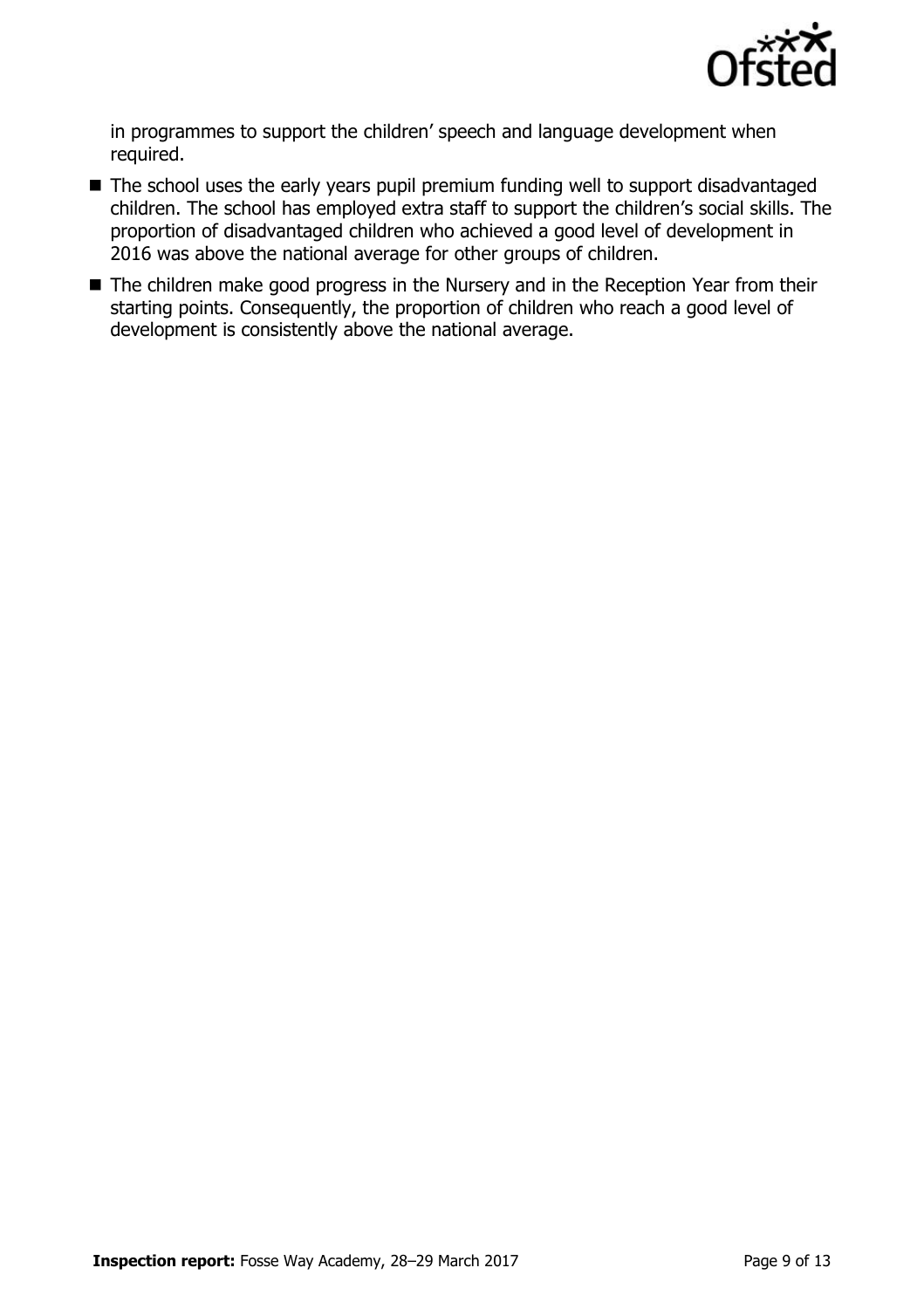

in programmes to support the children' speech and language development when required.

- The school uses the early years pupil premium funding well to support disadvantaged children. The school has employed extra staff to support the children's social skills. The proportion of disadvantaged children who achieved a good level of development in 2016 was above the national average for other groups of children.
- The children make good progress in the Nursery and in the Reception Year from their starting points. Consequently, the proportion of children who reach a good level of development is consistently above the national average.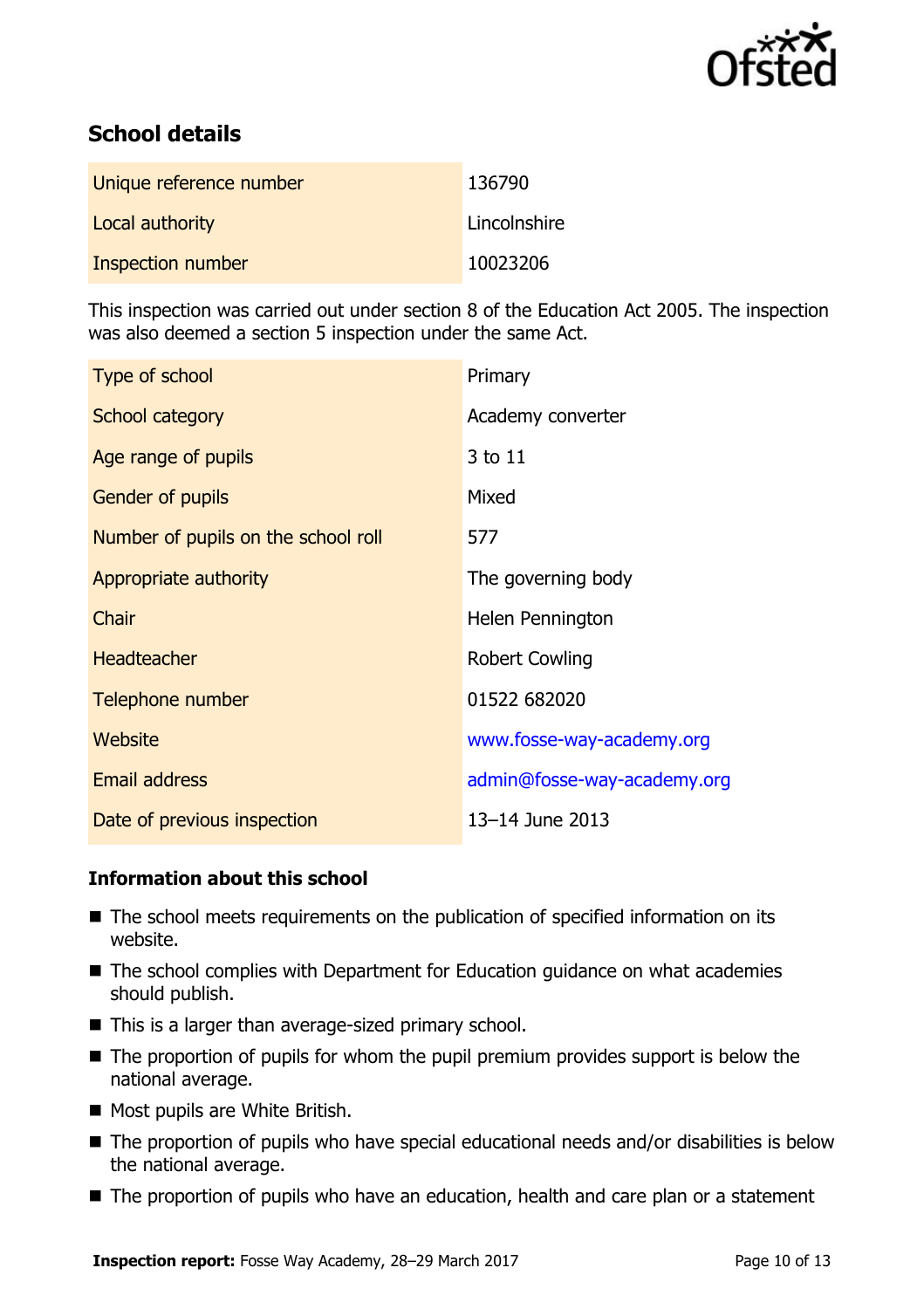

# **School details**

| Unique reference number | 136790       |
|-------------------------|--------------|
| Local authority         | Lincolnshire |
| Inspection number       | 10023206     |

This inspection was carried out under section 8 of the Education Act 2005. The inspection was also deemed a section 5 inspection under the same Act.

| Type of school                      | Primary                     |
|-------------------------------------|-----------------------------|
| School category                     | Academy converter           |
| Age range of pupils                 | 3 to 11                     |
| <b>Gender of pupils</b>             | Mixed                       |
| Number of pupils on the school roll | 577                         |
| Appropriate authority               | The governing body          |
| Chair                               | Helen Pennington            |
| <b>Headteacher</b>                  | <b>Robert Cowling</b>       |
| Telephone number                    | 01522 682020                |
| Website                             | www.fosse-way-academy.org   |
| <b>Email address</b>                | admin@fosse-way-academy.org |
| Date of previous inspection         | 13-14 June 2013             |

#### **Information about this school**

- The school meets requirements on the publication of specified information on its website.
- The school complies with Department for Education guidance on what academies should publish.
- $\blacksquare$  This is a larger than average-sized primary school.
- The proportion of pupils for whom the pupil premium provides support is below the national average.
- Most pupils are White British.
- The proportion of pupils who have special educational needs and/or disabilities is below the national average.
- The proportion of pupils who have an education, health and care plan or a statement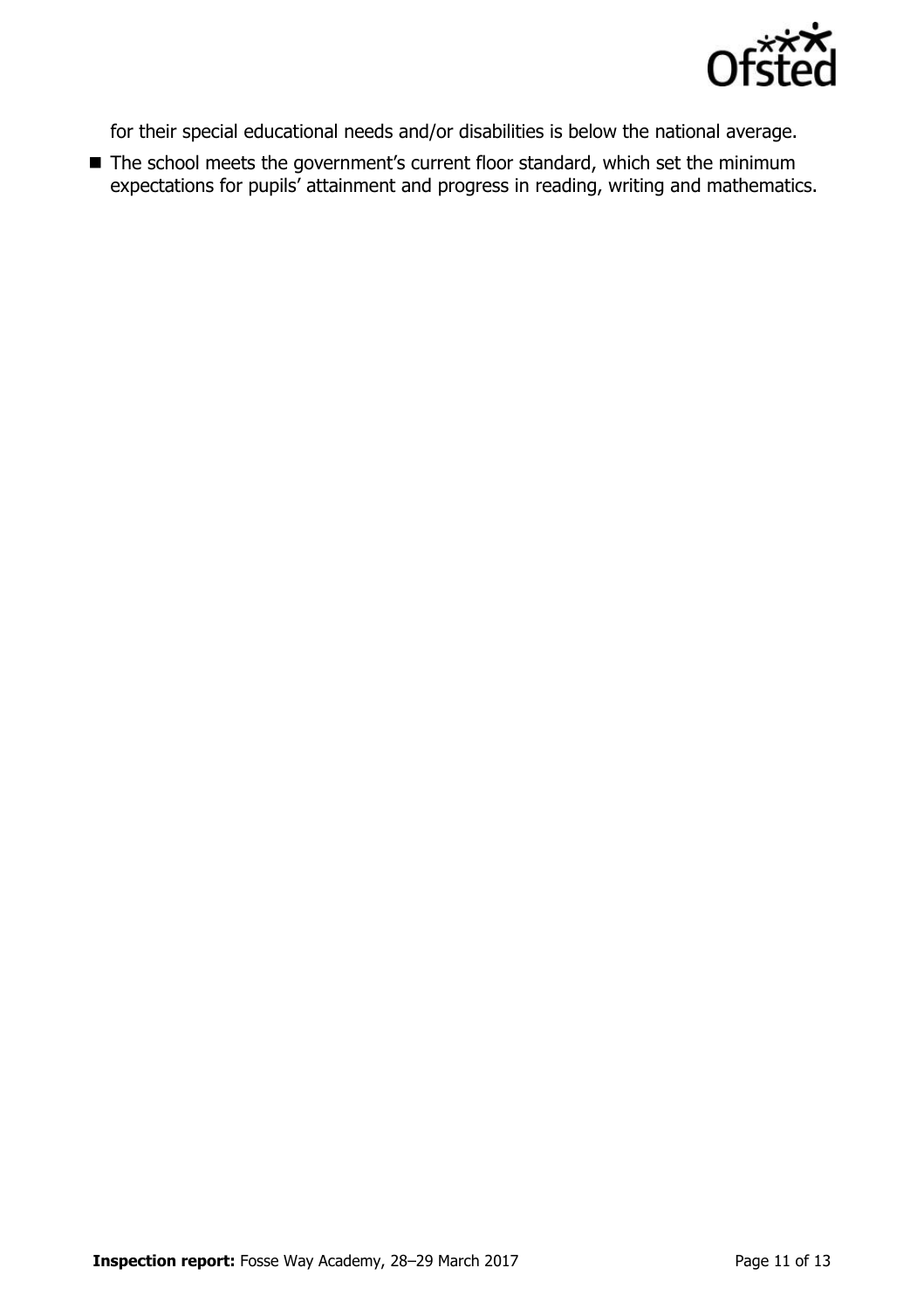

for their special educational needs and/or disabilities is below the national average.

■ The school meets the government's current floor standard, which set the minimum expectations for pupils' attainment and progress in reading, writing and mathematics.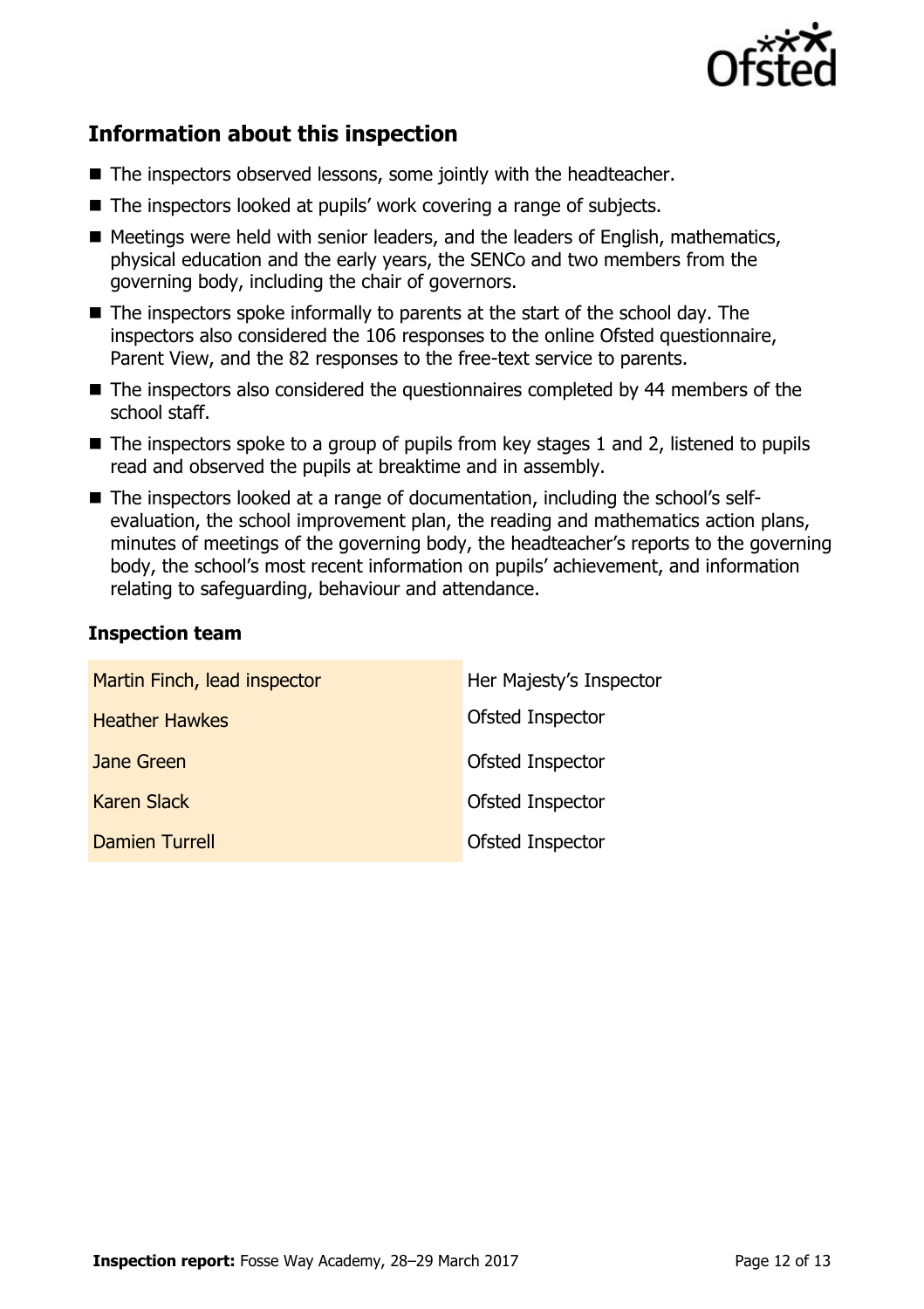

# **Information about this inspection**

- The inspectors observed lessons, some jointly with the headteacher.
- The inspectors looked at pupils' work covering a range of subjects.
- Meetings were held with senior leaders, and the leaders of English, mathematics, physical education and the early years, the SENCo and two members from the governing body, including the chair of governors.
- $\blacksquare$  The inspectors spoke informally to parents at the start of the school day. The inspectors also considered the 106 responses to the online Ofsted questionnaire, Parent View, and the 82 responses to the free-text service to parents.
- The inspectors also considered the questionnaires completed by 44 members of the school staff.
- $\blacksquare$  The inspectors spoke to a group of pupils from key stages 1 and 2, listened to pupils read and observed the pupils at breaktime and in assembly.
- The inspectors looked at a range of documentation, including the school's selfevaluation, the school improvement plan, the reading and mathematics action plans, minutes of meetings of the governing body, the headteacher's reports to the governing body, the school's most recent information on pupils' achievement, and information relating to safeguarding, behaviour and attendance.

#### **Inspection team**

| Martin Finch, lead inspector | Her Majesty's Inspector |
|------------------------------|-------------------------|
| <b>Heather Hawkes</b>        | Ofsted Inspector        |
| Jane Green                   | Ofsted Inspector        |
| <b>Karen Slack</b>           | Ofsted Inspector        |
| <b>Damien Turrell</b>        | Ofsted Inspector        |